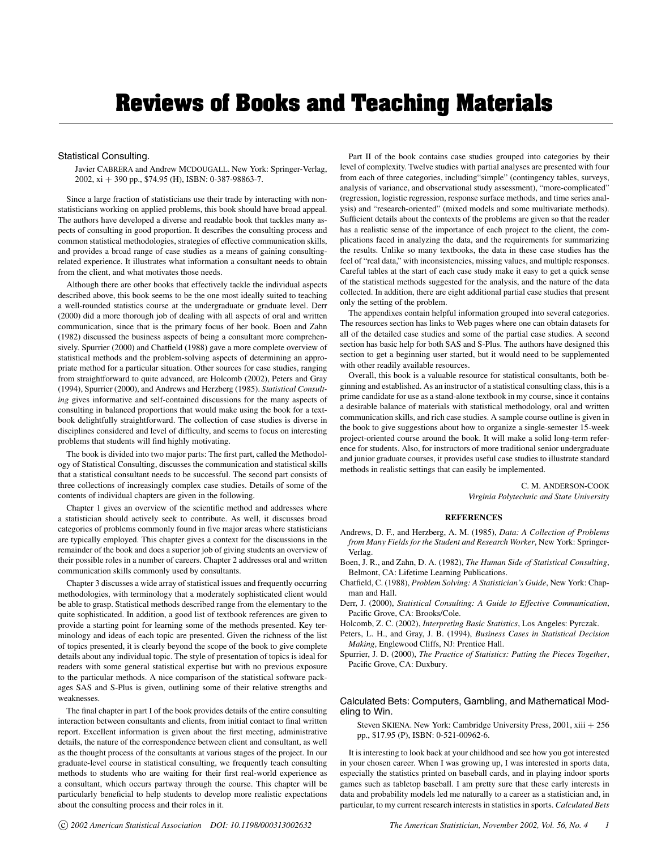# **Reviews of Books and Teaching Materials**

## Statistical Consulting.

Javier CABRERA and Andrew MCDOUGALL. New York: Springer-Verlag, 2002, xi + 390 pp., \$74.95 (H), ISBN: 0-387-98863-7.

Since a large fraction of statisticians use their trade by interacting with nonstatisticians working on applied problems, this book should have broad appeal. The authors have developed a diverse and readable book that tackles many aspects of consulting in good proportion. It describes the consulting process and common statistical methodologies, strategies of effective communication skills, and provides a broad range of case studies as a means of gaining consultingrelated experience. It illustrates what information a consultant needs to obtain from the client, and what motivates those needs.

Although there are other books that effectively tackle the individual aspects described above, this book seems to be the one most ideally suited to teaching a well-rounded statistics course at the undergraduate or graduate level. Derr (2000) did a more thorough job of dealing with all aspects of oral and written communication, since that is the primary focus of her book. Boen and Zahn (1982) discussed the business aspects of being a consultant more comprehensively. Spurrier (2000) and Chatfield (1988) gave a more complete overview of statistical methods and the problem-solving aspects of determining an appropriate method for a particular situation. Other sources for case studies, ranging from straightforward to quite advanced, are Holcomb (2002), Peters and Gray (1994), Spurrier (2000), and Andrews and Herzberg (1985). *Statistical Consulting* gives informative and self-contained discussions for the many aspects of consulting in balanced proportions that would make using the book for a textbook delightfully straightforward. The collection of case studies is diverse in disciplines considered and level of difficulty, and seems to focus on interesting problems that students will find highly motivating.

The book is divided into two major parts: The first part, called the Methodology of Statistical Consulting, discusses the communication and statistical skills that a statistical consultant needs to be successful. The second part consists of three collections of increasingly complex case studies. Details of some of the contents of individual chapters are given in the following.

Chapter 1 gives an overview of the scientific method and addresses where a statistician should actively seek to contribute. As well, it discusses broad categories of problems commonly found in five major areas where statisticians are typically employed. This chapter gives a context for the discussions in the remainder of the book and does a superior job of giving students an overview of their possible roles in a number of careers. Chapter 2 addresses oral and written communication skills commonly used by consultants.

Chapter 3 discusses a wide array of statistical issues and frequently occurring methodologies, with terminology that a moderately sophisticated client would be able to grasp. Statistical methods described range from the elementary to the quite sophisticated. In addition, a good list of textbook references are given to provide a starting point for learning some of the methods presented. Key terminology and ideas of each topic are presented. Given the richness of the list of topics presented, it is clearly beyond the scope of the book to give complete details about any individual topic. The style of presentation of topics is ideal for readers with some general statistical expertise but with no previous exposure to the particular methods. A nice comparison of the statistical software packages SAS and S-Plus is given, outlining some of their relative strengths and weaknesses.

The final chapter in part I of the book provides details of the entire consulting interaction between consultants and clients, from initial contact to final written report. Excellent information is given about the first meeting, administrative details, the nature of the correspondence between client and consultant, as well as the thought process of the consultants at various stages of the project. In our graduate-level course in statistical consulting, we frequently teach consulting methods to students who are waiting for their first real-world experience as a consultant, which occurs partway through the course. This chapter will be particularly beneficial to help students to develop more realistic expectations about the consulting process and their roles in it.

Part II of the book contains case studies grouped into categories by their level of complexity. Twelve studies with partial analyses are presented with four from each of three categories, including"simple" (contingency tables, surveys, analysis of variance, and observational study assessment), "more-complicated" (regression, logistic regression, response surface methods, and time series analysis) and "research-oriented" (mixed models and some multivariate methods). Sufficient details about the contexts of the problems are given so that the reader has a realistic sense of the importance of each project to the client, the complications faced in analyzing the data, and the requirements for summarizing the results. Unlike so many textbooks, the data in these case studies has the feel of "real data," with inconsistencies, missing values, and multiple responses. Careful tables at the start of each case study make it easy to get a quick sense of the statistical methods suggested for the analysis, and the nature of the data collected. In addition, there are eight additional partial case studies that present only the setting of the problem.

The appendixes contain helpful information grouped into several categories. The resources section has links to Web pages where one can obtain datasets for all of the detailed case studies and some of the partial case studies. A second section has basic help for both SAS and S-Plus. The authors have designed this section to get a beginning user started, but it would need to be supplemented with other readily available resources.

Overall, this book is a valuable resource for statistical consultants, both beginning and established. As an instructor of a statistical consulting class, this is a prime candidate for use as a stand-alone textbook in my course, since it contains a desirable balance of materials with statistical methodology, oral and written communication skills, and rich case studies. A sample course outline is given in the book to give suggestions about how to organize a single-semester 15-week project-oriented course around the book. It will make a solid long-term reference for students. Also, for instructors of more traditional senior undergraduate and junior graduate courses, it provides useful case studies to illustrate standard methods in realistic settings that can easily be implemented.

> C. M. ANDERSON-COOK *Virginia Polytechnic and State University*

#### **REFERENCES**

- Andrews, D. F., and Herzberg, A. M. (1985), *Data: A Collection of Problems from Many Fields for the Student and Research Worker*, New York: Springer-Verlag.
- Boen, J. R., and Zahn, D. A. (1982), *The Human Side of Statistical Consulting*, Belmont, CA: Lifetime Learning Publications.
- Chatfield, C. (1988), *Problem Solving: A Statistician's Guide*, New York: Chapman and Hall.
- Derr, J. (2000), *Statistical Consulting: A Guide to Effective Communication*, Pacific Grove, CA: Brooks/Cole.
- Holcomb, Z. C. (2002), *Interpreting Basic Statistics*, Los Angeles: Pyrczak.
- Peters, L. H., and Gray, J. B. (1994), *Business Cases in Statistical Decision Making*, Englewood Cliffs, NJ: Prentice Hall.
- Spurrier, J. D. (2000), *The Practice of Statistics: Putting the Pieces Together*, Pacific Grove, CA: Duxbury.

# Calculated Bets: Computers, Gambling, and Mathematical Modeling to Win.

Steven SKIENA. New York: Cambridge University Press, 2001, xiii + 256 pp., \$17.95 (P), ISBN: 0-521-00962-6.

It is interesting to look back at your childhood and see how you got interested in your chosen career. When I was growing up, I was interested in sports data, especially the statistics printed on baseball cards, and in playing indoor sports games such as tabletop baseball. I am pretty sure that these early interests in data and probability models led me naturally to a career as a statistician and, in particular, to my current research interests in statistics in sports. *Calculated Bets*